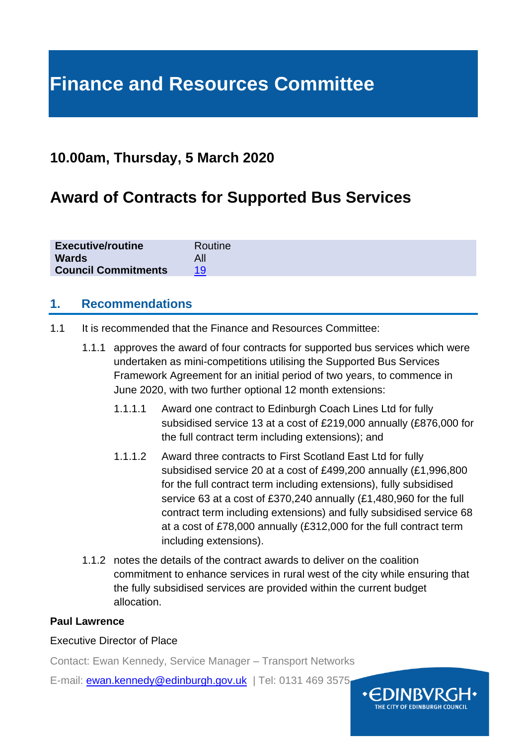# **Finance and Resources Committee**

# **10.00am, Thursday, 5 March 2020**

# **Award of Contracts for Supported Bus Services**

| <b>Executive/routine</b><br>Routine |  |
|-------------------------------------|--|
| <b>Wards</b>                        |  |
| <b>Council Commitments</b>          |  |

#### **1. Recommendations**

- 1.1 It is recommended that the Finance and Resources Committee:
	- 1.1.1 approves the award of four contracts for supported bus services which were undertaken as mini-competitions utilising the Supported Bus Services Framework Agreement for an initial period of two years, to commence in June 2020, with two further optional 12 month extensions:
		- 1.1.1.1 Award one contract to Edinburgh Coach Lines Ltd for fully subsidised service 13 at a cost of £219,000 annually (£876,000 for the full contract term including extensions); and
		- 1.1.1.2 Award three contracts to First Scotland East Ltd for fully subsidised service 20 at a cost of £499,200 annually (£1,996,800 for the full contract term including extensions), fully subsidised service 63 at a cost of £370,240 annually (£1,480,960 for the full contract term including extensions) and fully subsidised service 68 at a cost of £78,000 annually (£312,000 for the full contract term including extensions).
	- 1.1.2 notes the details of the contract awards to deliver on the coalition commitment to enhance services in rural west of the city while ensuring that the fully subsidised services are provided within the current budget allocation.

#### **Paul Lawrence**

#### Executive Director of Place

Contact: Ewan Kennedy, Service Manager – Transport Networks

E-mail: [ewan.kennedy@edinburgh.gov.uk](mailto:ewan.kennedy@edinburgh.gov.uk) | Tel: 0131 469 3575

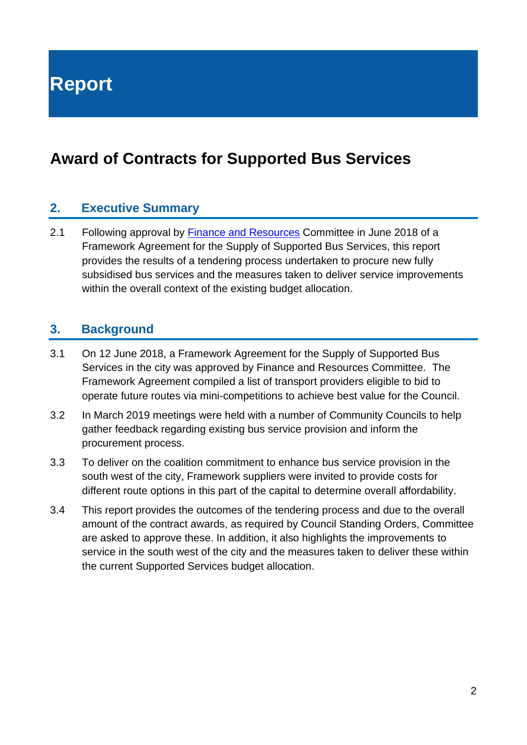**Report**

# **Award of Contracts for Supported Bus Services**

#### **2. Executive Summary**

2.1 Following approval by [Finance and Resources](https://democracy.edinburgh.gov.uk/CeListDocuments.aspx?CommitteeId=140&MeetingId=2306&DF=12%2f06%2f2018&Ver=2) Committee in June 2018 of a Framework Agreement for the Supply of Supported Bus Services, this report provides the results of a tendering process undertaken to procure new fully subsidised bus services and the measures taken to deliver service improvements within the overall context of the existing budget allocation.

#### **3. Background**

- 3.1 On 12 June 2018, a Framework Agreement for the Supply of Supported Bus Services in the city was approved by Finance and Resources Committee. The Framework Agreement compiled a list of transport providers eligible to bid to operate future routes via mini-competitions to achieve best value for the Council.
- 3.2 In March 2019 meetings were held with a number of Community Councils to help gather feedback regarding existing bus service provision and inform the procurement process.
- 3.3 To deliver on the coalition commitment to enhance bus service provision in the south west of the city, Framework suppliers were invited to provide costs for different route options in this part of the capital to determine overall affordability.
- 3.4 This report provides the outcomes of the tendering process and due to the overall amount of the contract awards, as required by Council Standing Orders, Committee are asked to approve these. In addition, it also highlights the improvements to service in the south west of the city and the measures taken to deliver these within the current Supported Services budget allocation.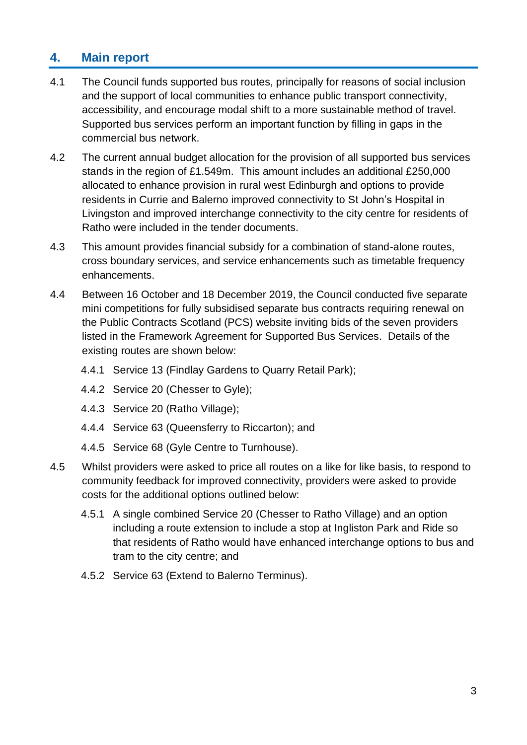### **4. Main report**

- 4.1 The Council funds supported bus routes, principally for reasons of social inclusion and the support of local communities to enhance public transport connectivity, accessibility, and encourage modal shift to a more sustainable method of travel. Supported bus services perform an important function by filling in gaps in the commercial bus network.
- 4.2 The current annual budget allocation for the provision of all supported bus services stands in the region of £1.549m. This amount includes an additional £250,000 allocated to enhance provision in rural west Edinburgh and options to provide residents in Currie and Balerno improved connectivity to St John's Hospital in Livingston and improved interchange connectivity to the city centre for residents of Ratho were included in the tender documents.
- 4.3 This amount provides financial subsidy for a combination of stand-alone routes, cross boundary services, and service enhancements such as timetable frequency enhancements.
- 4.4 Between 16 October and 18 December 2019, the Council conducted five separate mini competitions for fully subsidised separate bus contracts requiring renewal on the Public Contracts Scotland (PCS) website inviting bids of the seven providers listed in the Framework Agreement for Supported Bus Services. Details of the existing routes are shown below:
	- 4.4.1 Service 13 (Findlay Gardens to Quarry Retail Park);
	- 4.4.2 Service 20 (Chesser to Gyle);
	- 4.4.3 Service 20 (Ratho Village);
	- 4.4.4 Service 63 (Queensferry to Riccarton); and
	- 4.4.5 Service 68 (Gyle Centre to Turnhouse).
- 4.5 Whilst providers were asked to price all routes on a like for like basis, to respond to community feedback for improved connectivity, providers were asked to provide costs for the additional options outlined below:
	- 4.5.1 A single combined Service 20 (Chesser to Ratho Village) and an option including a route extension to include a stop at Ingliston Park and Ride so that residents of Ratho would have enhanced interchange options to bus and tram to the city centre; and
	- 4.5.2 Service 63 (Extend to Balerno Terminus).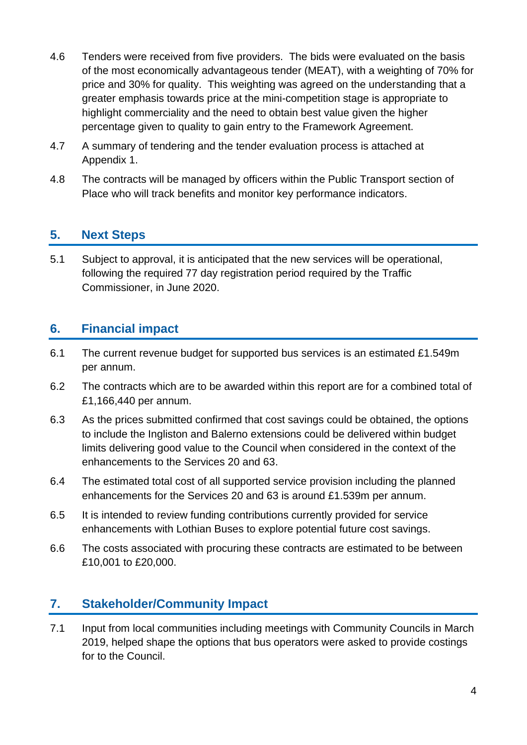- 4.6 Tenders were received from five providers. The bids were evaluated on the basis of the most economically advantageous tender (MEAT), with a weighting of 70% for price and 30% for quality. This weighting was agreed on the understanding that a greater emphasis towards price at the mini-competition stage is appropriate to highlight commerciality and the need to obtain best value given the higher percentage given to quality to gain entry to the Framework Agreement.
- 4.7 A summary of tendering and the tender evaluation process is attached at Appendix 1.
- 4.8 The contracts will be managed by officers within the Public Transport section of Place who will track benefits and monitor key performance indicators.

### **5. Next Steps**

5.1 Subject to approval, it is anticipated that the new services will be operational, following the required 77 day registration period required by the Traffic Commissioner, in June 2020.

#### **6. Financial impact**

- 6.1 The current revenue budget for supported bus services is an estimated £1.549m per annum.
- 6.2 The contracts which are to be awarded within this report are for a combined total of £1,166,440 per annum.
- 6.3 As the prices submitted confirmed that cost savings could be obtained, the options to include the Ingliston and Balerno extensions could be delivered within budget limits delivering good value to the Council when considered in the context of the enhancements to the Services 20 and 63.
- 6.4 The estimated total cost of all supported service provision including the planned enhancements for the Services 20 and 63 is around £1.539m per annum.
- 6.5 It is intended to review funding contributions currently provided for service enhancements with Lothian Buses to explore potential future cost savings.
- 6.6 The costs associated with procuring these contracts are estimated to be between £10,001 to £20,000.

#### **7. Stakeholder/Community Impact**

7.1 Input from local communities including meetings with Community Councils in March 2019, helped shape the options that bus operators were asked to provide costings for to the Council.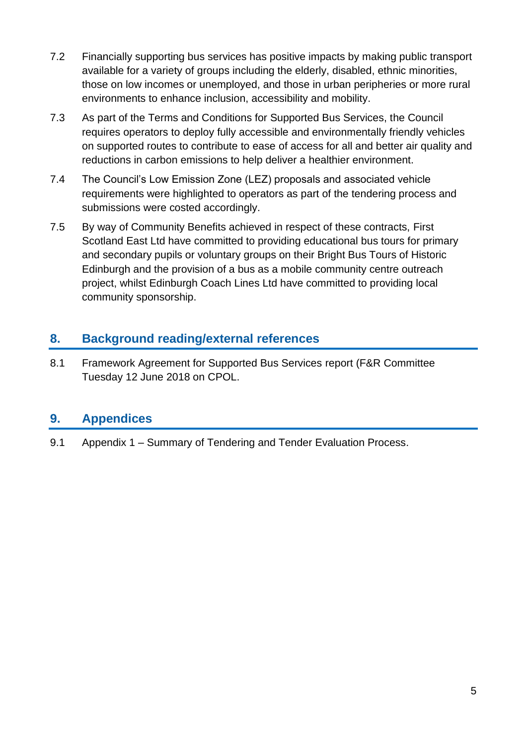- 7.2 Financially supporting bus services has positive impacts by making public transport available for a variety of groups including the elderly, disabled, ethnic minorities, those on low incomes or unemployed, and those in urban peripheries or more rural environments to enhance inclusion, accessibility and mobility.
- 7.3 As part of the Terms and Conditions for Supported Bus Services, the Council requires operators to deploy fully accessible and environmentally friendly vehicles on supported routes to contribute to ease of access for all and better air quality and reductions in carbon emissions to help deliver a healthier environment.
- 7.4 The Council's Low Emission Zone (LEZ) proposals and associated vehicle requirements were highlighted to operators as part of the tendering process and submissions were costed accordingly.
- 7.5 By way of Community Benefits achieved in respect of these contracts, First Scotland East Ltd have committed to providing educational bus tours for primary and secondary pupils or voluntary groups on their Bright Bus Tours of Historic Edinburgh and the provision of a bus as a mobile community centre outreach project, whilst Edinburgh Coach Lines Ltd have committed to providing local community sponsorship.

## **8. Background reading/external references**

8.1 Framework Agreement for Supported Bus Services report (F&R Committee Tuesday 12 June 2018 on CPOL.

# **9. Appendices**

9.1 Appendix 1 – Summary of Tendering and Tender Evaluation Process.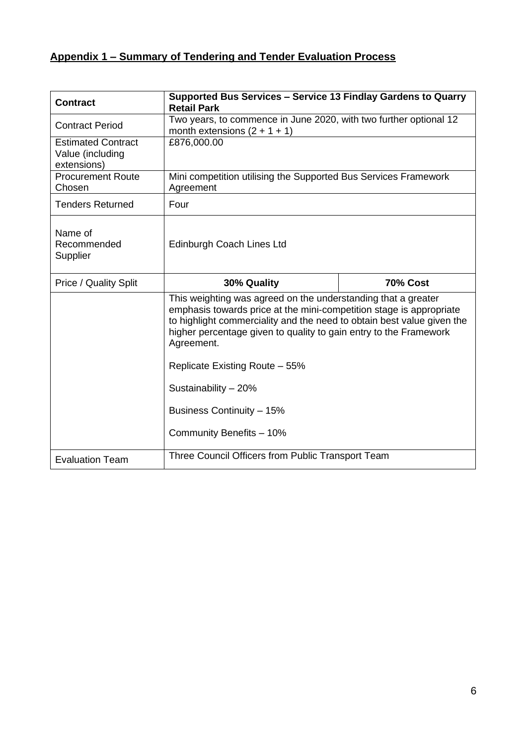# **Appendix 1 – Summary of Tendering and Tender Evaluation Process**

| <b>Contract</b>                                              | Supported Bus Services - Service 13 Findlay Gardens to Quarry<br><b>Retail Park</b>                                                                                                                                                                                                               |  |  |
|--------------------------------------------------------------|---------------------------------------------------------------------------------------------------------------------------------------------------------------------------------------------------------------------------------------------------------------------------------------------------|--|--|
| <b>Contract Period</b>                                       | Two years, to commence in June 2020, with two further optional 12<br>month extensions $(2 + 1 + 1)$                                                                                                                                                                                               |  |  |
| <b>Estimated Contract</b><br>Value (including<br>extensions) | £876,000.00                                                                                                                                                                                                                                                                                       |  |  |
| <b>Procurement Route</b><br>Chosen                           | Mini competition utilising the Supported Bus Services Framework<br>Agreement                                                                                                                                                                                                                      |  |  |
| <b>Tenders Returned</b>                                      | Four                                                                                                                                                                                                                                                                                              |  |  |
| Name of<br>Recommended<br>Supplier                           | Edinburgh Coach Lines Ltd                                                                                                                                                                                                                                                                         |  |  |
| <b>Price / Quality Split</b>                                 | 30% Quality<br><b>70% Cost</b>                                                                                                                                                                                                                                                                    |  |  |
|                                                              | This weighting was agreed on the understanding that a greater<br>emphasis towards price at the mini-competition stage is appropriate<br>to highlight commerciality and the need to obtain best value given the<br>higher percentage given to quality to gain entry to the Framework<br>Agreement. |  |  |
|                                                              | Replicate Existing Route - 55%<br>Sustainability - 20%                                                                                                                                                                                                                                            |  |  |
|                                                              |                                                                                                                                                                                                                                                                                                   |  |  |
| Business Continuity - 15%                                    |                                                                                                                                                                                                                                                                                                   |  |  |
|                                                              | Community Benefits - 10%                                                                                                                                                                                                                                                                          |  |  |
| <b>Evaluation Team</b>                                       | Three Council Officers from Public Transport Team                                                                                                                                                                                                                                                 |  |  |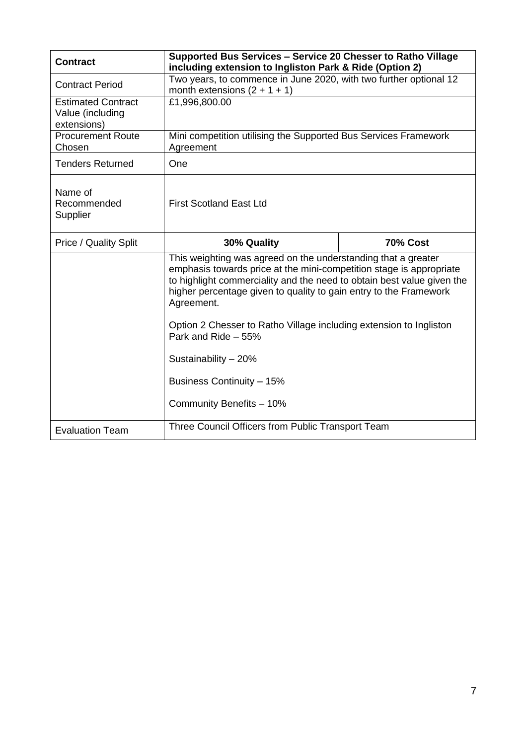| <b>Contract</b>                                              | Supported Bus Services - Service 20 Chesser to Ratho Village<br>including extension to Ingliston Park & Ride (Option 2)                                                                                                                                                                                                                                                                        |                 |  |
|--------------------------------------------------------------|------------------------------------------------------------------------------------------------------------------------------------------------------------------------------------------------------------------------------------------------------------------------------------------------------------------------------------------------------------------------------------------------|-----------------|--|
| <b>Contract Period</b>                                       | Two years, to commence in June 2020, with two further optional 12<br>month extensions $(2 + 1 + 1)$                                                                                                                                                                                                                                                                                            |                 |  |
| <b>Estimated Contract</b><br>Value (including<br>extensions) | £1,996,800.00                                                                                                                                                                                                                                                                                                                                                                                  |                 |  |
| <b>Procurement Route</b><br>Chosen                           | Mini competition utilising the Supported Bus Services Framework<br>Agreement                                                                                                                                                                                                                                                                                                                   |                 |  |
| <b>Tenders Returned</b>                                      | One                                                                                                                                                                                                                                                                                                                                                                                            |                 |  |
| Name of<br>Recommended<br>Supplier                           | <b>First Scotland East Ltd</b>                                                                                                                                                                                                                                                                                                                                                                 |                 |  |
| <b>Price / Quality Split</b>                                 | 30% Quality                                                                                                                                                                                                                                                                                                                                                                                    | <b>70% Cost</b> |  |
|                                                              | This weighting was agreed on the understanding that a greater<br>emphasis towards price at the mini-competition stage is appropriate<br>to highlight commerciality and the need to obtain best value given the<br>higher percentage given to quality to gain entry to the Framework<br>Agreement.<br>Option 2 Chesser to Ratho Village including extension to Ingliston<br>Park and Ride - 55% |                 |  |
|                                                              | Sustainability - 20%                                                                                                                                                                                                                                                                                                                                                                           |                 |  |
|                                                              | Business Continuity - 15%                                                                                                                                                                                                                                                                                                                                                                      |                 |  |
| Community Benefits - 10%                                     |                                                                                                                                                                                                                                                                                                                                                                                                |                 |  |
| <b>Evaluation Team</b>                                       | Three Council Officers from Public Transport Team                                                                                                                                                                                                                                                                                                                                              |                 |  |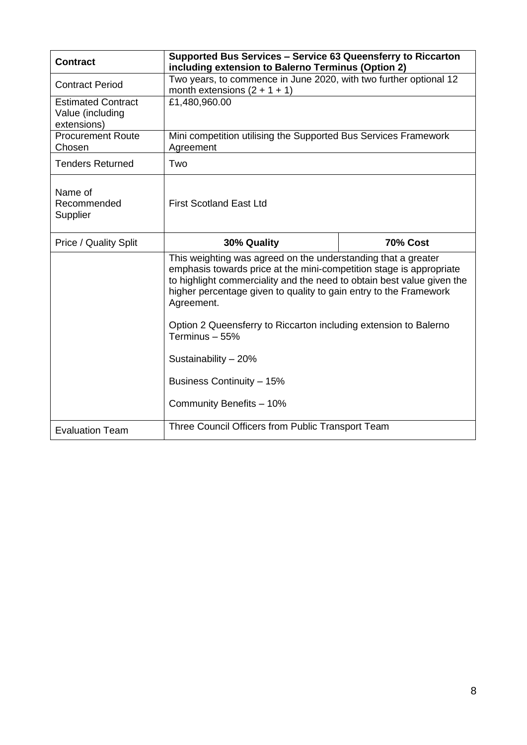| <b>Contract</b>                                              | Supported Bus Services - Service 63 Queensferry to Riccarton<br>including extension to Balerno Terminus (Option 2)                                                                                                                                                                                                                                                                                                                                                       |                 |  |
|--------------------------------------------------------------|--------------------------------------------------------------------------------------------------------------------------------------------------------------------------------------------------------------------------------------------------------------------------------------------------------------------------------------------------------------------------------------------------------------------------------------------------------------------------|-----------------|--|
| <b>Contract Period</b>                                       | Two years, to commence in June 2020, with two further optional 12<br>month extensions $(2 + 1 + 1)$                                                                                                                                                                                                                                                                                                                                                                      |                 |  |
| <b>Estimated Contract</b><br>Value (including<br>extensions) | £1,480,960.00                                                                                                                                                                                                                                                                                                                                                                                                                                                            |                 |  |
| <b>Procurement Route</b><br>Chosen                           | Mini competition utilising the Supported Bus Services Framework<br>Agreement                                                                                                                                                                                                                                                                                                                                                                                             |                 |  |
| <b>Tenders Returned</b>                                      | Two                                                                                                                                                                                                                                                                                                                                                                                                                                                                      |                 |  |
| Name of<br>Recommended<br>Supplier                           | <b>First Scotland East Ltd</b>                                                                                                                                                                                                                                                                                                                                                                                                                                           |                 |  |
| <b>Price / Quality Split</b>                                 | 30% Quality                                                                                                                                                                                                                                                                                                                                                                                                                                                              | <b>70% Cost</b> |  |
|                                                              | This weighting was agreed on the understanding that a greater<br>emphasis towards price at the mini-competition stage is appropriate<br>to highlight commerciality and the need to obtain best value given the<br>higher percentage given to quality to gain entry to the Framework<br>Agreement.<br>Option 2 Queensferry to Riccarton including extension to Balerno<br>Terminus - 55%<br>Sustainability - 20%<br>Business Continuity - 15%<br>Community Benefits - 10% |                 |  |
| <b>Evaluation Team</b>                                       | Three Council Officers from Public Transport Team                                                                                                                                                                                                                                                                                                                                                                                                                        |                 |  |
|                                                              |                                                                                                                                                                                                                                                                                                                                                                                                                                                                          |                 |  |